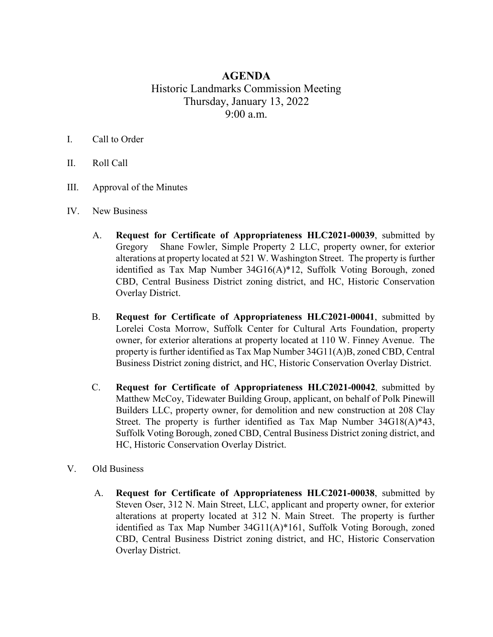## **AGENDA** Historic Landmarks Commission Meeting Thursday, January 13, 2022 9:00 a.m.

## I. Call to Order

- II. Roll Call
- III. Approval of the Minutes
- IV. New Business
	- A. **Request for Certificate of Appropriateness HLC2021-00039**, submitted by Gregory Shane Fowler, Simple Property 2 LLC, property owner, for exterior alterations at property located at 521 W. Washington Street. The property is further identified as Tax Map Number 34G16(A)\*12, Suffolk Voting Borough, zoned CBD, Central Business District zoning district, and HC, Historic Conservation Overlay District.
	- B. **Request for Certificate of Appropriateness HLC2021-00041**, submitted by Lorelei Costa Morrow, Suffolk Center for Cultural Arts Foundation, property owner, for exterior alterations at property located at 110 W. Finney Avenue. The property is further identified as Tax Map Number 34G11(A)B, zoned CBD, Central Business District zoning district, and HC, Historic Conservation Overlay District.
	- C. **Request for Certificate of Appropriateness HLC2021-00042**, submitted by Matthew McCoy, Tidewater Building Group, applicant, on behalf of Polk Pinewill Builders LLC, property owner, for demolition and new construction at 208 Clay Street. The property is further identified as Tax Map Number 34G18(A)\*43, Suffolk Voting Borough, zoned CBD, Central Business District zoning district, and HC, Historic Conservation Overlay District.
- V. Old Business
	- A. **Request for Certificate of Appropriateness HLC2021-00038**, submitted by Steven Oser, 312 N. Main Street, LLC, applicant and property owner, for exterior alterations at property located at 312 N. Main Street. The property is further identified as Tax Map Number 34G11(A)\*161, Suffolk Voting Borough, zoned CBD, Central Business District zoning district, and HC, Historic Conservation Overlay District.